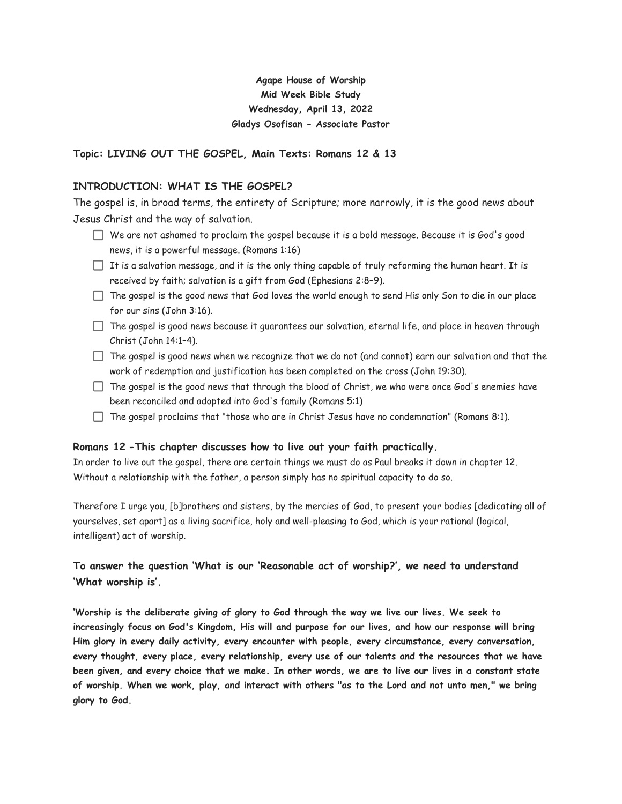# **Agape House of Worship Mid Week Bible Study Wednesday, April 13, 2022 Gladys Osofisan - Associate Pastor**

# **Topic: LIVING OUT THE GOSPEL, Main Texts: Romans 12 & 13**

### **INTRODUCTION: WHAT IS THE GOSPEL?**

The gospel is, in broad terms, the entirety of Scripture; more narrowly, it is the good news about Jesus Christ and the way of salvation.

- $\Box$  We are not ashamed to proclaim the gospel because it is a bold message. Because it is God's good news, it is a powerful message. (Romans 1:16)
- $\Box$  It is a salvation message, and it is the only thing capable of truly reforming the human heart. It is received by faith; salvation is a gift from God (Ephesians 2:8–9).
- $\Box$  The gospel is the good news that God loves the world enough to send His only Son to die in our place for our sins (John 3:16).
- $\Box$  The gospel is good news because it guarantees our salvation, eternal life, and place in heaven through Christ (John 14:1–4).
- $\Box$  The gospel is good news when we recognize that we do not (and cannot) earn our salvation and that the work of redemption and justification has been completed on the cross (John 19:30).
- $\Box$  The gospel is the good news that through the blood of Christ, we who were once God's enemies have been reconciled and adopted into God's family (Romans 5:1)
- $\Box$  The gospel proclaims that "those who are in Christ Jesus have no condemnation" (Romans 8:1).

#### **Romans 12 -This chapter discusses how to live out your faith practically.**

In order to live out the gospel, there are certain things we must do as Paul breaks it down in chapter 12. Without a relationship with the father, a person simply has no spiritual capacity to do so.

Therefore I urge you, [b]brothers and sisters, by the mercies of God, to present your bodies [dedicating all of yourselves, set apart] as a living sacrifice, holy and well-pleasing to God, which is your rational (logical, intelligent) act of worship.

# **To answer the question 'What is our 'Reasonable act of worship?', we need to understand 'What worship is'.**

**'Worship is the deliberate giving of glory to God through the way we live our lives. We seek to increasingly focus on God's Kingdom, His will and purpose for our lives, and how our response will bring Him glory in every daily activity, every encounter with people, every circumstance, every conversation, every thought, every place, every relationship, every use of our talents and the resources that we have been given, and every choice that we make. In other words, we are to live our lives in a constant state of worship. When we work, play, and interact with others "as to the Lord and not unto men," we bring glory to God.**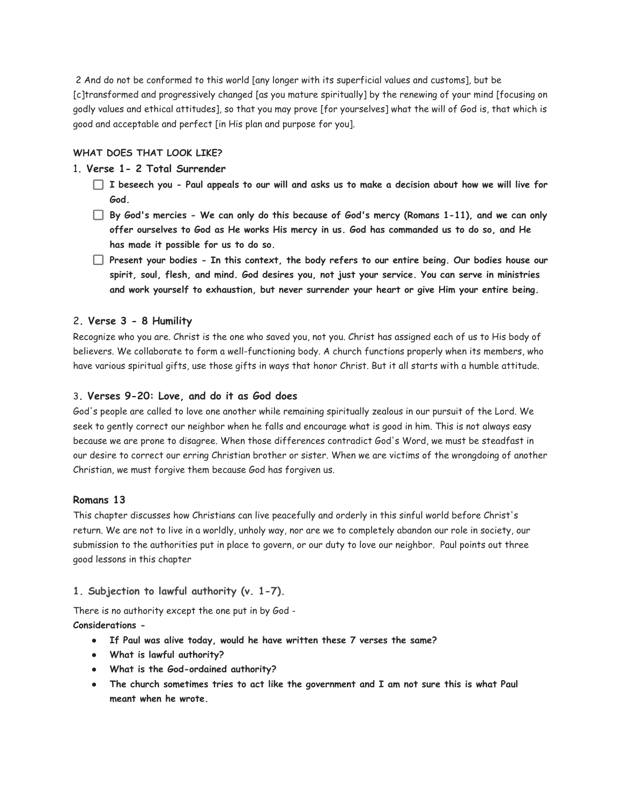2 And do not be conformed to this world [any longer with its superficial values and customs], but be [c]transformed and progressively changed [as you mature spiritually] by the renewing of your mind [focusing on godly values and ethical attitudes], so that you may prove [for yourselves] what the will of God is, that which is good and acceptable and perfect [in His plan and purpose for you].

# **WHAT DOES THAT LOOK LIKE?**

# 1**. Verse 1- 2 Total Surrender**

- **I beseech you Paul appeals to our will and asks us to make a decision about how we will live for God.**
- **By God's mercies We can only do this because of God's mercy (Romans 1-11), and we can only offer ourselves to God as He works His mercy in us. God has commanded us to do so, and He has made it possible for us to do so.**
- **Present your bodies In this context, the body refers to our entire being. Our bodies house our spirit, soul, flesh, and mind. God desires you, not just your service. You can serve in ministries and work yourself to exhaustion, but never surrender your heart or give Him your entire being.**

#### 2**. Verse 3 - 8 Humility**

Recognize who you are. Christ is the one who saved you, not you. Christ has assigned each of us to His body of believers. We collaborate to form a well-functioning body. A church functions properly when its members, who have various spiritual gifts, use those gifts in ways that honor Christ. But it all starts with a humble attitude.

#### 3**. Verses 9-20: Love, and do it as God does**

God's people are called to love one another while remaining spiritually zealous in our pursuit of the Lord. We seek to gently correct our neighbor when he falls and encourage what is good in him. This is not always easy because we are prone to disagree. When those differences contradict God's Word, we must be steadfast in our desire to correct our erring Christian brother or sister. When we are victims of the wrongdoing of another Christian, we must forgive them because God has forgiven us.

#### **Romans 13**

This chapter discusses how Christians can live peacefully and orderly in this sinful world before Christ's return. We are not to live in a worldly, unholy way, nor are we to completely abandon our role in society, our submission to the authorities put in place to govern, or our duty to love our neighbor. Paul points out three good lessons in this chapter

#### **1. Subjection to lawful authority (v. 1-7).**

There is no authority except the one put in by God -

**Considerations -**

- **● If Paul was alive today, would he have written these 7 verses the same?**
- **● What is lawful authority?**
- **● What is the God-ordained authority?**
- **● The church sometimes tries to act like the government and I am not sure this is what Paul meant when he wrote.**